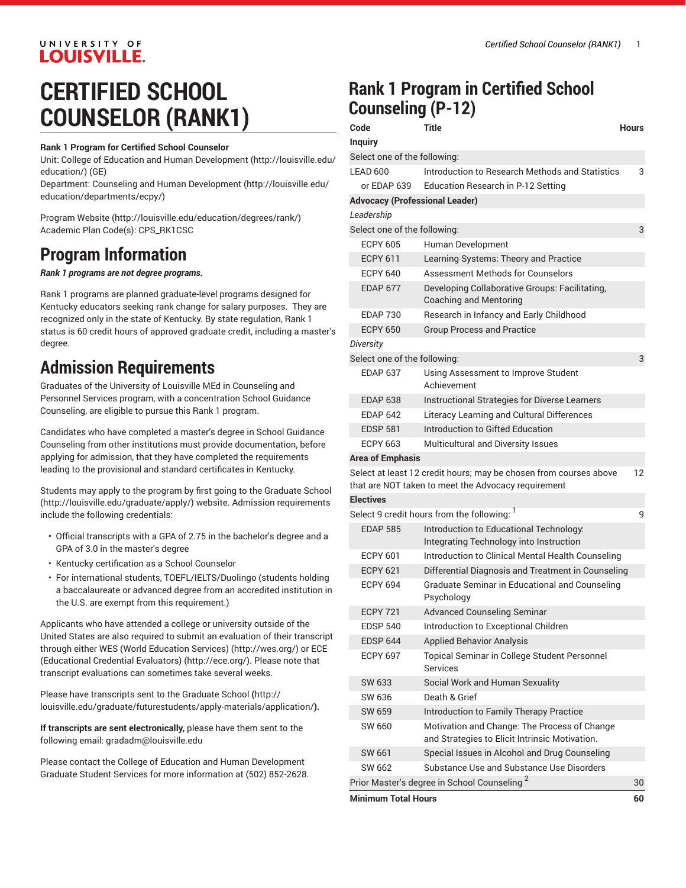# **LOUISVILLE. CERTIFIED SCHOOL COUNSELOR (RANK1)**

UNIVERSITY OF

#### **Rank 1 Program for Certified School Counselor**

Unit: College of Education and Human [Development \(http://louisville.edu/](http://louisville.edu/education/) [education/](http://louisville.edu/education/)) (GE)

Department: Counseling and Human [Development \(http://louisville.edu/](http://louisville.edu/education/departments/ecpy/) [education/departments/ecpy/\)](http://louisville.edu/education/departments/ecpy/)

[Program](http://louisville.edu/education/degrees/rank/) Website [\(http://louisville.edu/education/degrees/rank/](http://louisville.edu/education/degrees/rank/)) Academic Plan Code(s): CPS\_RK1CSC

## **Program Information**

*Rank 1 programs are not degree programs.*

Rank 1 programs are planned graduate-level programs designed for Kentucky educators seeking rank change for salary purposes. They are recognized only in the state of Kentucky. By state regulation, Rank 1 status is 60 credit hours of approved graduate credit, including a master's degree.

### **Admission Requirements**

Graduates of the University of Louisville MEd in Counseling and Personnel Services program, with a concentration School Guidance Counseling, are eligible to pursue this Rank 1 program.

Candidates who have completed a master's degree in School Guidance Counseling from other institutions must provide documentation, before applying for admission, that they have completed the requirements leading to the provisional and standard certificates in Kentucky.

Students may apply to the program by first going to the [Graduate School](http://louisville.edu/graduate/apply/) ([http://louisville.edu/graduate/apply/\)](http://louisville.edu/graduate/apply/) website. Admission requirements include the following credentials:

- Official transcripts with a GPA of 2.75 in the bachelor's degree and a GPA of 3.0 in the master's degree
- Kentucky certification as a School Counselor
- For international students, TOEFL/IELTS/Duolingo (students holding a baccalaureate or advanced degree from an accredited institution in the U.S. are exempt from this requirement.)

Applicants who have attended a college or university outside of the United States are also required to submit an evaluation of their transcript through either WES (World [Education](http://wes.org/) Services) [\(http://wes.org/\)](http://wes.org/) or [ECE](http://ece.org/) [\(Educational](http://ece.org/) Credential Evaluators) [\(http://ece.org/](http://ece.org/)). Please note that transcript evaluations can sometimes take several weeks.

Please have transcripts sent to the [Graduate School](http://louisville.edu/graduate/futurestudents/apply-materials/application/) **(**[http://](http://louisville.edu/graduate/futurestudents/apply-materials/application/) [louisville.edu/graduate/futurestudents/apply-materials/application/](http://louisville.edu/graduate/futurestudents/apply-materials/application/)**).**

**If transcripts are sent electronically,** please have them sent to the following email: [gradadm@louisville.edu](mailto:gradadm@louisville.edu)

Please contact the College of Education and Human Development Graduate Student Services for more information at (502) 852-2628.

## **Rank 1 Program in Certified School Counseling (P-12)**

| Code                                           | Title                                                                                                                    | Hours |
|------------------------------------------------|--------------------------------------------------------------------------------------------------------------------------|-------|
| <b>Inquiry</b>                                 |                                                                                                                          |       |
| Select one of the following:                   |                                                                                                                          |       |
| LEAD 600                                       | Introduction to Research Methods and Statistics                                                                          | 3     |
| or EDAP 639                                    | Education Research in P-12 Setting                                                                                       |       |
| <b>Advocacy (Professional Leader)</b>          |                                                                                                                          |       |
| Leadership                                     |                                                                                                                          |       |
| Select one of the following:<br>3              |                                                                                                                          |       |
| <b>ECPY 605</b>                                | Human Development                                                                                                        |       |
| <b>ECPY 611</b>                                | Learning Systems: Theory and Practice                                                                                    |       |
| <b>ECPY 640</b>                                | Assessment Methods for Counselors                                                                                        |       |
| <b>EDAP 677</b>                                | Developing Collaborative Groups: Facilitating,<br>Coaching and Mentoring                                                 |       |
| <b>EDAP 730</b>                                | Research in Infancy and Early Childhood                                                                                  |       |
| <b>ECPY 650</b>                                | <b>Group Process and Practice</b>                                                                                        |       |
| Diversity                                      |                                                                                                                          |       |
| Select one of the following:                   |                                                                                                                          | 3     |
| <b>FDAP 637</b>                                | Using Assessment to Improve Student<br>Achievement                                                                       |       |
| <b>EDAP 638</b>                                | Instructional Strategies for Diverse Learners                                                                            |       |
| <b>EDAP 642</b>                                | Literacy Learning and Cultural Differences                                                                               |       |
| <b>EDSP 581</b>                                | Introduction to Gifted Education                                                                                         |       |
| <b>ECPY 663</b>                                | Multicultural and Diversity Issues                                                                                       |       |
| <b>Area of Emphasis</b>                        |                                                                                                                          |       |
|                                                | Select at least 12 credit hours; may be chosen from courses above<br>that are NOT taken to meet the Advocacy requirement | 12    |
| <b>Electives</b>                               |                                                                                                                          |       |
| Select 9 credit hours from the following:<br>9 |                                                                                                                          |       |
| <b>EDAP 585</b>                                | Introduction to Educational Technology:<br>Integrating Technology into Instruction                                       |       |
| <b>ECPY 601</b>                                | Introduction to Clinical Mental Health Counseling                                                                        |       |
| <b>ECPY 621</b>                                | Differential Diagnosis and Treatment in Counseling                                                                       |       |
| <b>ECPY 694</b>                                | Graduate Seminar in Educational and Counseling<br>Psychology                                                             |       |
| <b>ECPY 721</b>                                | <b>Advanced Counseling Seminar</b>                                                                                       |       |
| <b>EDSP 540</b>                                | Introduction to Exceptional Children                                                                                     |       |
| <b>EDSP 644</b>                                | <b>Applied Behavior Analysis</b>                                                                                         |       |
| <b>ECPY 697</b>                                | Topical Seminar in College Student Personnel<br><b>Services</b>                                                          |       |
| SW 633                                         | Social Work and Human Sexuality                                                                                          |       |
| SW 636                                         | Death & Grief                                                                                                            |       |
| SW 659                                         | Introduction to Family Therapy Practice                                                                                  |       |
| SW 660                                         | Motivation and Change: The Process of Change<br>and Strategies to Elicit Intrinsic Motivation.                           |       |
| SW 661                                         | Special Issues in Alcohol and Drug Counseling                                                                            |       |
| SW 662                                         | Substance Use and Substance Use Disorders                                                                                |       |
|                                                | Prior Master's degree in School Counseling <sup>2</sup>                                                                  | 30    |

**Minimum Total Hours 60**